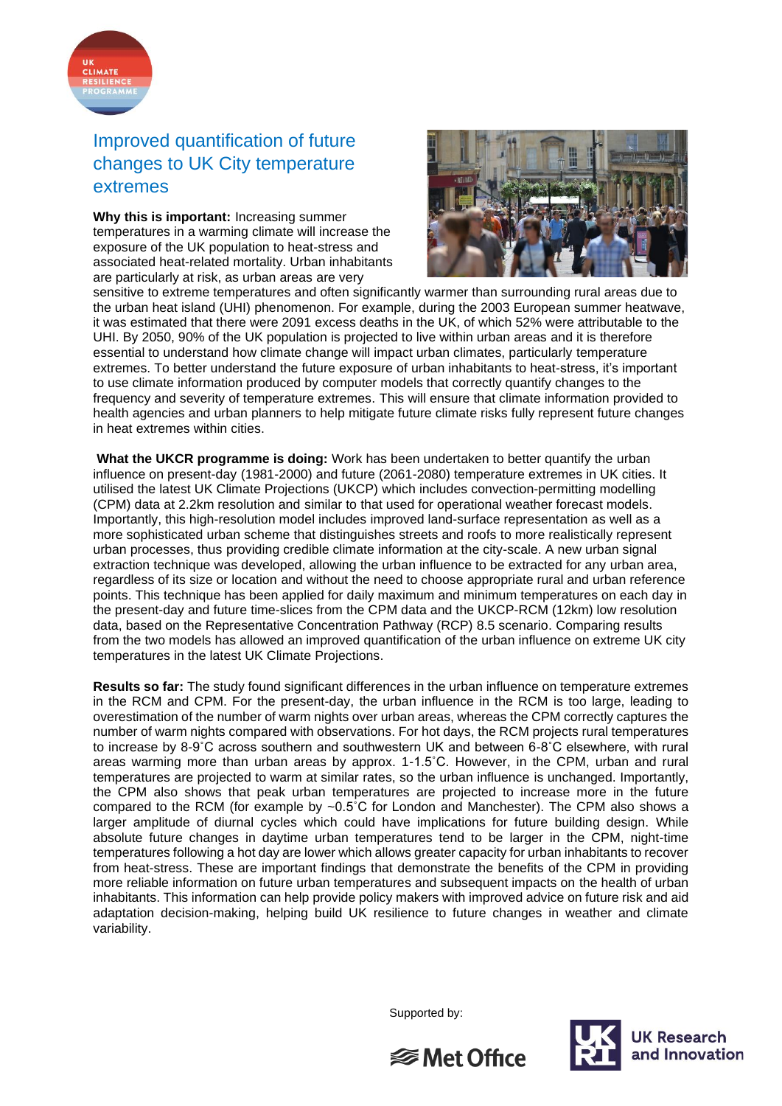

## Improved quantification of future changes to UK City temperature extremes

**Why this is important:** Increasing summer temperatures in a warming climate will increase the exposure of the UK population to heat-stress and associated heat-related mortality. Urban inhabitants are particularly at risk, as urban areas are very



sensitive to extreme temperatures and often significantly warmer than surrounding rural areas due to the urban heat island (UHI) phenomenon. For example, during the 2003 European summer heatwave, it was estimated that there were 2091 excess deaths in the UK, of which 52% were attributable to the UHI. By 2050, 90% of the UK population is projected to live within urban areas and it is therefore essential to understand how climate change will impact urban climates, particularly temperature extremes. To better understand the future exposure of urban inhabitants to heat-stress, it's important to use climate information produced by computer models that correctly quantify changes to the frequency and severity of temperature extremes. This will ensure that climate information provided to health agencies and urban planners to help mitigate future climate risks fully represent future changes in heat extremes within cities.

**What the UKCR programme is doing:** Work has been undertaken to better quantify the urban influence on present-day (1981-2000) and future (2061-2080) temperature extremes in UK cities. It utilised the latest UK Climate Projections (UKCP) which includes convection-permitting modelling (CPM) data at 2.2km resolution and similar to that used for operational weather forecast models. Importantly, this high-resolution model includes improved land-surface representation as well as a more sophisticated urban scheme that distinguishes streets and roofs to more realistically represent urban processes, thus providing credible climate information at the city-scale. A new urban signal extraction technique was developed, allowing the urban influence to be extracted for any urban area, regardless of its size or location and without the need to choose appropriate rural and urban reference points. This technique has been applied for daily maximum and minimum temperatures on each day in the present-day and future time-slices from the CPM data and the UKCP-RCM (12km) low resolution data, based on the Representative Concentration Pathway (RCP) 8.5 scenario. Comparing results from the two models has allowed an improved quantification of the urban influence on extreme UK city temperatures in the latest UK Climate Projections.

**Results so far:** The study found significant differences in the urban influence on temperature extremes in the RCM and CPM. For the present-day, the urban influence in the RCM is too large, leading to overestimation of the number of warm nights over urban areas, whereas the CPM correctly captures the number of warm nights compared with observations. For hot days, the RCM projects rural temperatures to increase by 8-9˚C across southern and southwestern UK and between 6-8˚C elsewhere, with rural areas warming more than urban areas by approx. 1-1.5˚C. However, in the CPM, urban and rural temperatures are projected to warm at similar rates, so the urban influence is unchanged. Importantly, the CPM also shows that peak urban temperatures are projected to increase more in the future compared to the RCM (for example by ~0.5˚C for London and Manchester). The CPM also shows a larger amplitude of diurnal cycles which could have implications for future building design. While absolute future changes in daytime urban temperatures tend to be larger in the CPM, night-time temperatures following a hot day are lower which allows greater capacity for urban inhabitants to recover from heat-stress. These are important findings that demonstrate the benefits of the CPM in providing more reliable information on future urban temperatures and subsequent impacts on the health of urban inhabitants. This information can help provide policy makers with improved advice on future risk and aid adaptation decision-making, helping build UK resilience to future changes in weather and climate variability.

Supported by: